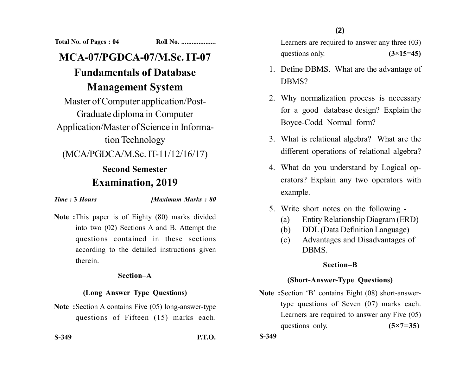**Total No. of Pages : 04 Roll No. ....................**

# **MCA-07/PGDCA-07/M.Sc. IT-07 Fundamentals of Database**

## **Management System**

Master of Computer application/Post-Graduate diploma in Computer Application/Master of Science in Information Technology

(MCA/PGDCA/M.Sc. IT-11/12/16/17)

### **Second Semester Examination, 2019**

*Time :* **3** *Hours [Maximum Marks : 80*

**Note :**This paper is of Eighty (80) marks divided into two (02) Sections A and B. Attempt the questions contained in these sections according to the detailed instructions given therein.

#### **Section–A**

#### **(Long Answer Type Questions)**

**Note :**Section A contains Five (05) long-answer-type questions of Fifteen (15) marks each.

**S-349 P.T.O.**

Learners are required to answer any three (03) questions only.  $(3\times15=45)$ 

- 1. Define DBMS. What are the advantage of DBMS?
- 2. Why normalization process is necessary for a good database design? Explain the Boyce-Codd Normal form?
- 3. What is relational algebra? What are the different operations of relational algebra?
- 4. What do you understand by Logical operators? Explain any two operators with example.
- 5. Write short notes on the following
	- (a) Entity Relationship Diagram (ERD)
	- (b) DDL (Data Definition Language)
	- (c) Advantages and Disadvantages of **DRMS**

#### **Section–B**

#### **(Short-Answer-Type Questions)**

**Note :**Section 'B' contains Eight (08) short-answertype questions of Seven (07) marks each. Learners are required to answer any Five (05) questions only. **(5×7=35)** 

**S-349**